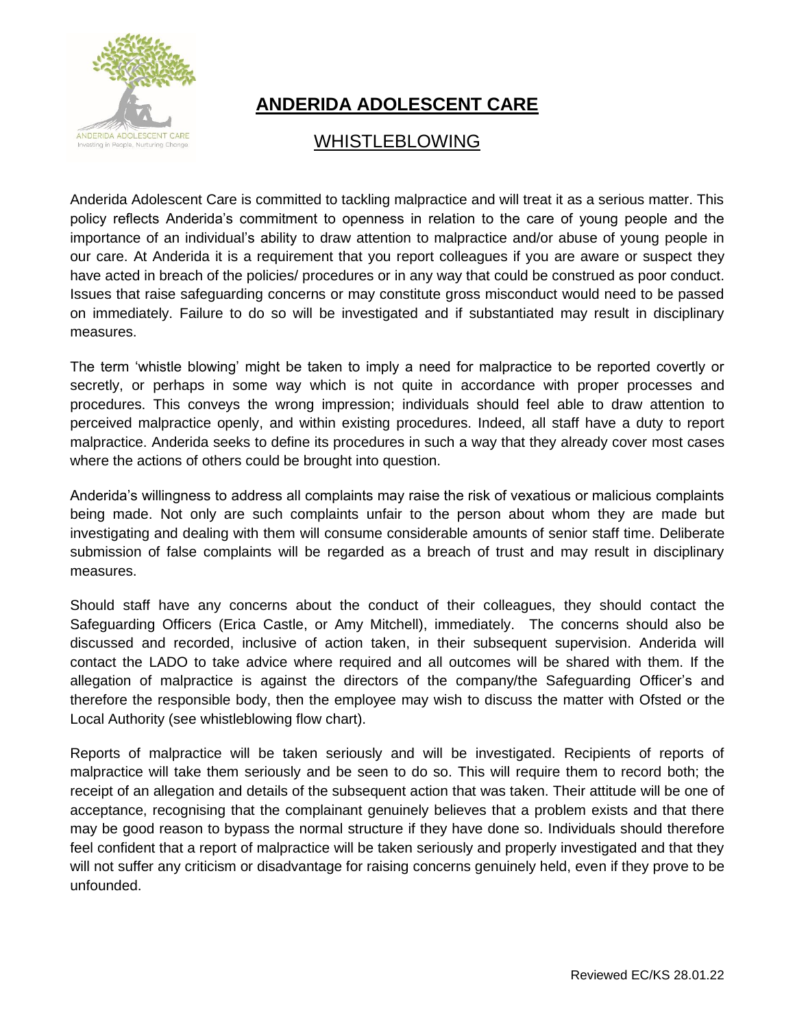

## **ANDERIDA ADOLESCENT CARE**

## WHISTLEBLOWING

Anderida Adolescent Care is committed to tackling malpractice and will treat it as a serious matter. This policy reflects Anderida's commitment to openness in relation to the care of young people and the importance of an individual's ability to draw attention to malpractice and/or abuse of young people in our care. At Anderida it is a requirement that you report colleagues if you are aware or suspect they have acted in breach of the policies/ procedures or in any way that could be construed as poor conduct. Issues that raise safeguarding concerns or may constitute gross misconduct would need to be passed on immediately. Failure to do so will be investigated and if substantiated may result in disciplinary measures.

The term 'whistle blowing' might be taken to imply a need for malpractice to be reported covertly or secretly, or perhaps in some way which is not quite in accordance with proper processes and procedures. This conveys the wrong impression; individuals should feel able to draw attention to perceived malpractice openly, and within existing procedures. Indeed, all staff have a duty to report malpractice. Anderida seeks to define its procedures in such a way that they already cover most cases where the actions of others could be brought into question.

Anderida's willingness to address all complaints may raise the risk of vexatious or malicious complaints being made. Not only are such complaints unfair to the person about whom they are made but investigating and dealing with them will consume considerable amounts of senior staff time. Deliberate submission of false complaints will be regarded as a breach of trust and may result in disciplinary measures.

Should staff have any concerns about the conduct of their colleagues, they should contact the Safeguarding Officers (Erica Castle, or Amy Mitchell), immediately. The concerns should also be discussed and recorded, inclusive of action taken, in their subsequent supervision. Anderida will contact the LADO to take advice where required and all outcomes will be shared with them. If the allegation of malpractice is against the directors of the company/the Safeguarding Officer's and therefore the responsible body, then the employee may wish to discuss the matter with Ofsted or the Local Authority (see whistleblowing flow chart).

Reports of malpractice will be taken seriously and will be investigated. Recipients of reports of malpractice will take them seriously and be seen to do so. This will require them to record both; the receipt of an allegation and details of the subsequent action that was taken. Their attitude will be one of acceptance, recognising that the complainant genuinely believes that a problem exists and that there may be good reason to bypass the normal structure if they have done so. Individuals should therefore feel confident that a report of malpractice will be taken seriously and properly investigated and that they will not suffer any criticism or disadvantage for raising concerns genuinely held, even if they prove to be unfounded.